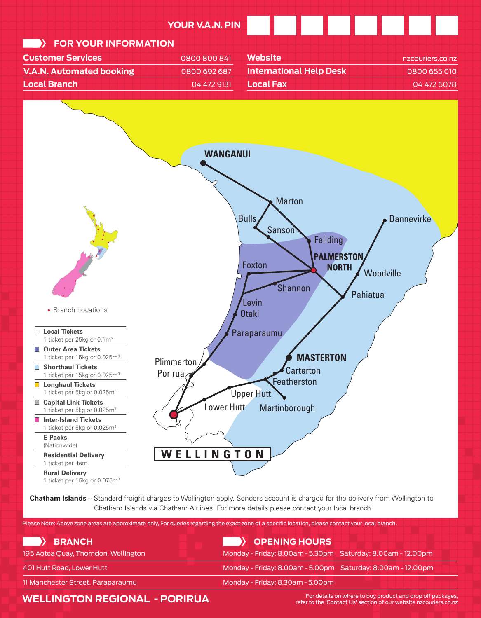

**Chatham Islands** – Standard freight charges to Wellington apply. Senders account is charged for the delivery from Wellington to Chatham Islands via Chatham Airlines. For more details please contact your local branch. Chatham Islands via Chatham Airlines. For more details please contact your local branch.

| Please Note: Above zone areas are approximate only, For queries regarding the exact zone of a specific location, please contact your local branch. |                                                             |  |
|----------------------------------------------------------------------------------------------------------------------------------------------------|-------------------------------------------------------------|--|
| <b>EXAMPLE STANCH</b>                                                                                                                              | <b>EXAMPLE SO PENING HOURS</b>                              |  |
| 195 Aotea Quay, Thorndon, Wellington                                                                                                               | Monday - Friday: 8.00am - 5.30pm Saturday: 8.00am - 12.00pm |  |
| 401 Hutt Road, Lower Hutt                                                                                                                          | Monday - Friday: 8.00am - 5.00pm Saturday: 8.00am - 12.00pm |  |
| 11 Manchester Street, Paraparaumu                                                                                                                  | Monday - Friday: 8.30am - 5.00pm                            |  |

## **WELLINGTON REGIONAL - PORIRUA**

For details on where to buy product and drop off packages, refer to the 'Contact Us' section of our website nzcouriers.co.nz